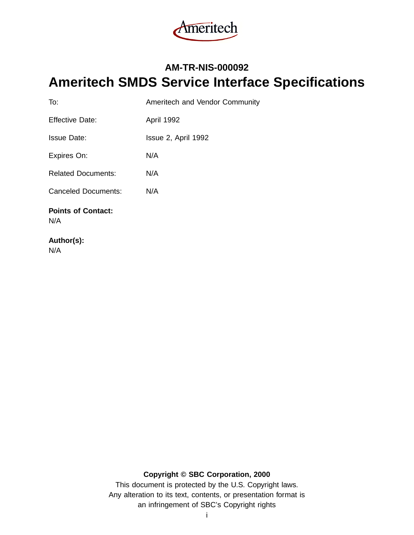

# **AM-TR-NIS-000092 Ameritech SMDS Service Interface Specifications**

| Author(s):                       |                                |
|----------------------------------|--------------------------------|
| <b>Points of Contact:</b><br>N/A |                                |
| <b>Canceled Documents:</b>       | N/A                            |
| <b>Related Documents:</b>        | N/A                            |
| Expires On:                      | N/A                            |
| <b>Issue Date:</b>               | Issue 2, April 1992            |
| <b>Effective Date:</b>           | April 1992                     |
| To:                              | Ameritech and Vendor Community |

N/A

**Copyright © SBC Corporation, 2000**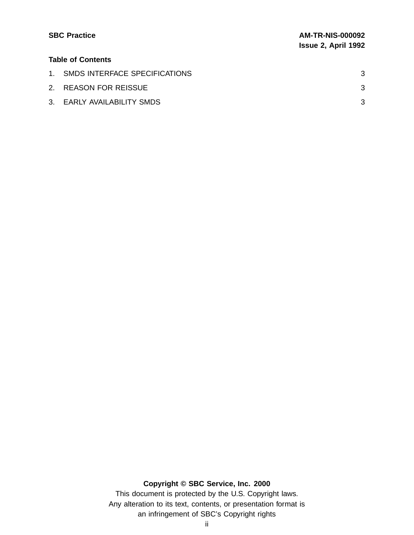### **Table of Contents**

| 1. SMDS INTERFACE SPECIFICATIONS |  |
|----------------------------------|--|
| 2. REASON FOR REISSUE            |  |
| 3. EARLY AVAILABILITY SMDS       |  |

# **Copyright © SBC Service, Inc. 2000**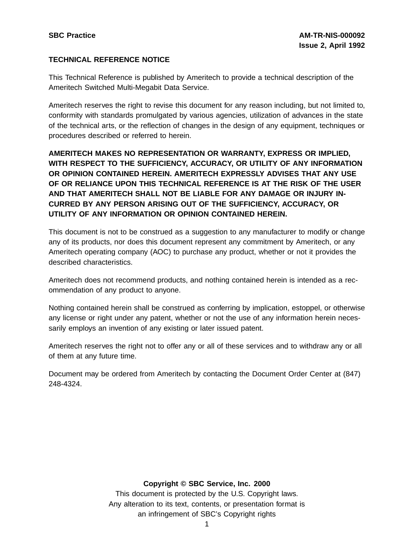### **TECHNICAL REFERENCE NOTICE**

This Technical Reference is published by Ameritech to provide a technical description of the Ameritech Switched Multi-Megabit Data Service.

Ameritech reserves the right to revise this document for any reason including, but not limited to, conformity with standards promulgated by various agencies, utilization of advances in the state of the technical arts, or the reflection of changes in the design of any equipment, techniques or procedures described or referred to herein.

**AMERITECH MAKES NO REPRESENTATION OR WARRANTY, EXPRESS OR IMPLIED, WITH RESPECT TO THE SUFFICIENCY, ACCURACY, OR UTILITY OF ANY INFORMATION OR OPINION CONTAINED HEREIN. AMERITECH EXPRESSLY ADVISES THAT ANY USE OF OR RELIANCE UPON THIS TECHNICAL REFERENCE IS AT THE RISK OF THE USER AND THAT AMERITECH SHALL NOT BE LIABLE FOR ANY DAMAGE OR INJURY IN-CURRED BY ANY PERSON ARISING OUT OF THE SUFFICIENCY, ACCURACY, OR UTILITY OF ANY INFORMATION OR OPINION CONTAINED HEREIN.**

This document is not to be construed as a suggestion to any manufacturer to modify or change any of its products, nor does this document represent any commitment by Ameritech, or any Ameritech operating company (AOC) to purchase any product, whether or not it provides the described characteristics.

Ameritech does not recommend products, and nothing contained herein is intended as a recommendation of any product to anyone.

Nothing contained herein shall be construed as conferring by implication, estoppel, or otherwise any license or right under any patent, whether or not the use of any information herein necessarily employs an invention of any existing or later issued patent.

Ameritech reserves the right not to offer any or all of these services and to withdraw any or all of them at any future time.

Document may be ordered from Ameritech by contacting the Document Order Center at (847) 248-4324.

#### **Copyright © SBC Service, Inc. 2000**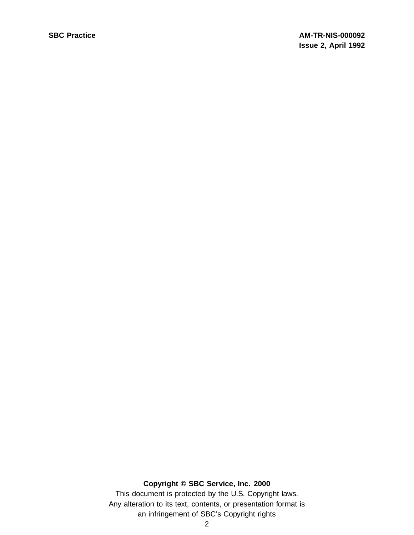# **Copyright © SBC Service, Inc. 2000**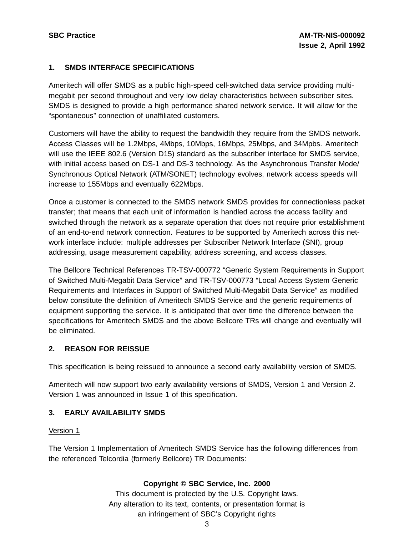#### **1. SMDS INTERFACE SPECIFICATIONS**

Ameritech will offer SMDS as a public high-speed cell-switched data service providing multimegabit per second throughout and very low delay characteristics between subscriber sites. SMDS is designed to provide a high performance shared network service. It will allow for the "spontaneous" connection of unaffiliated customers.

Customers will have the ability to request the bandwidth they require from the SMDS network. Access Classes will be 1.2Mbps, 4Mbps, 10Mbps, 16Mbps, 25Mbps, and 34Mpbs. Ameritech will use the IEEE 802.6 (Version D15) standard as the subscriber interface for SMDS service, with initial access based on DS-1 and DS-3 technology. As the Asynchronous Transfer Mode/ Synchronous Optical Network (ATM/SONET) technology evolves, network access speeds will increase to 155Mbps and eventually 622Mbps.

Once a customer is connected to the SMDS network SMDS provides for connectionless packet transfer; that means that each unit of information is handled across the access facility and switched through the network as a separate operation that does not require prior establishment of an end-to-end network connection. Features to be supported by Ameritech across this network interface include: multiple addresses per Subscriber Network Interface (SNI), group addressing, usage measurement capability, address screening, and access classes.

The Bellcore Technical References TR-TSV-000772 "Generic System Requirements in Support of Switched Multi-Megabit Data Service" and TR-TSV-000773 "Local Access System Generic Requirements and Interfaces in Support of Switched Multi-Megabit Data Service" as modified below constitute the definition of Ameritech SMDS Service and the generic requirements of equipment supporting the service. It is anticipated that over time the difference between the specifications for Ameritech SMDS and the above Bellcore TRs will change and eventually will be eliminated.

# **2. REASON FOR REISSUE**

This specification is being reissued to announce a second early availability version of SMDS.

Ameritech will now support two early availability versions of SMDS, Version 1 and Version 2. Version 1 was announced in Issue 1 of this specification.

#### **3. EARLY AVAILABILITY SMDS**

Version 1

The Version 1 Implementation of Ameritech SMDS Service has the following differences from the referenced Telcordia (formerly Bellcore) TR Documents:

# **Copyright © SBC Service, Inc. 2000**